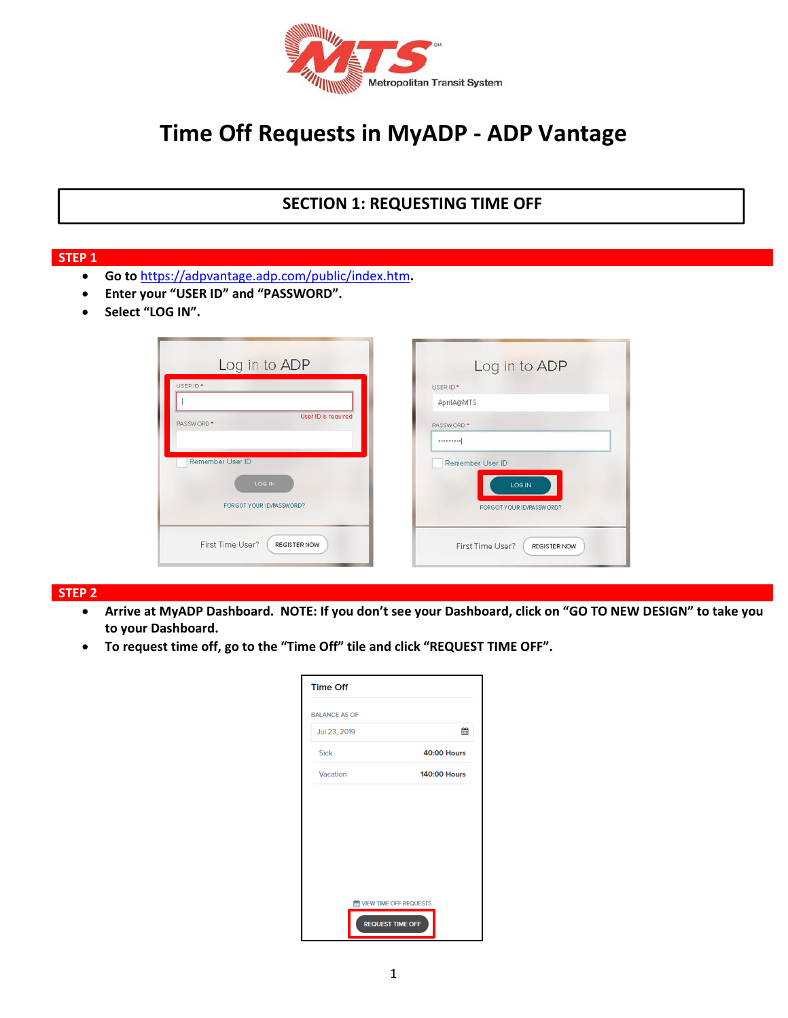

# **Time Off Requests in MyADP ‐ ADP Vantage**

## **SECTION 1: REQUESTING TIME OFF**

#### **STEP 1**

- **Go to** https://adpvantage.adp.com/public/index.htm**.**
- **Enter your "USER ID" and "PASSWORD".**
- **•** Select "LOG IN".

| Log in to ADP                                | Log in to ADP                    |
|----------------------------------------------|----------------------------------|
| USER ID <sup>*</sup>                         | USER ID*                         |
|                                              | AprilA@MTS                       |
| User ID is required<br>PASSWORD <sup>+</sup> | PASSWORD <sup>+</sup>            |
|                                              |                                  |
| Remember User ID                             | Remember User ID                 |
| LOG IN                                       | LOG IN                           |
| FORGOT YOUR ID/PASSWORD?                     | FORGOT YOUR ID/PASSWORD?         |
| First Time User?<br>REGISTER NOW             | First Time User?<br>REGISTER NOW |

#### **STEP 2**

- **Arrive at MyADP Dashboard. NOTE: If you don't see your Dashboard, click on "GO TO NEW DESIGN" to take you to your Dashboard.**
- **To request time off, go to the "Time Off" tile and click "REQUEST TIME OFF".**

| <b>Time Off</b>              |                     |
|------------------------------|---------------------|
| <b>BALANCE AS OF</b>         |                     |
| Jul 23, 2019                 | 鯩                   |
| <b>Sick</b>                  | <b>40:00 Hours</b>  |
| Vacation                     | <b>140:00 Hours</b> |
|                              |                     |
|                              |                     |
|                              |                     |
|                              |                     |
|                              |                     |
| <b>MEW TIME OFF REQUESTS</b> |                     |
| <b>REQUEST TIME OFF</b>      |                     |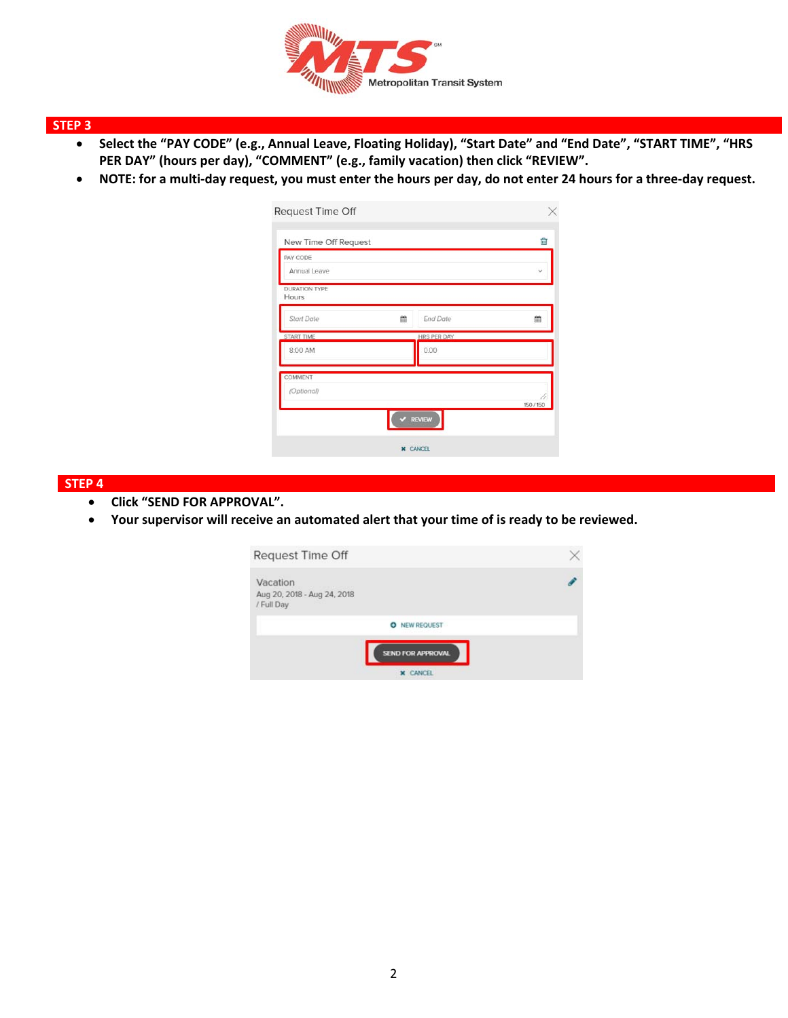

## **STEP 3**

- **Select the "PAY CODE" (e.g., Annual Leave, Floating Holiday), "Start Date" and "End Date", "START TIME", "HRS**  PER DAY" (hours per day), "COMMENT" (e.g., family vacation) then click "REVIEW".
- **NOTE: for a multi‐day request, you must enter the hours per day, do not enter 24 hours for a three‐day request.**

| New Time Off Request          |                    | û            |
|-------------------------------|--------------------|--------------|
| PAY CODE<br>Annual Leave      |                    | $\checkmark$ |
| <b>DURATION TYPE</b><br>Hours |                    |              |
| <b>Start Date</b><br>龠        | <b>End Date</b>    | 鱛            |
| START TIME                    | <b>HRS PER DAY</b> |              |
| 8:00 AM                       | 0.00               |              |
| COMMENT                       |                    |              |
| (Optional)                    |                    |              |
|                               |                    | 150/150      |

#### **STEP 4**

- **Click "SEND FOR APPROVAL".**
- **Your supervisor will receive an automated alert that your time of is ready to be reviewed.**

| Request Time Off                                      |  |
|-------------------------------------------------------|--|
| Vacation<br>Aug 20, 2018 - Aug 24, 2018<br>/ Full Day |  |
| <b>NEW REQUEST</b><br>۰                               |  |
| <b>SEND FOR APPROVAL</b><br><b>X</b> CANCEL           |  |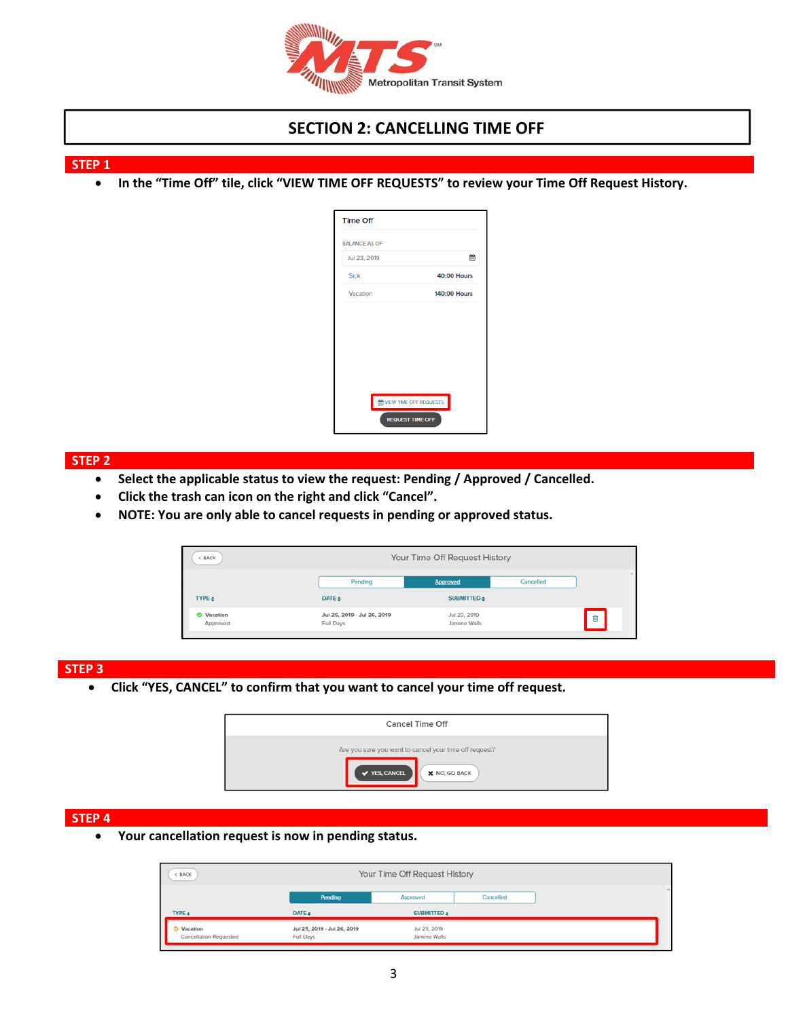

## **SECTION 2: CANCELLING TIME OFF**

**STEP 1** 

**•** In the "Time Off" tile, click "VIEW TIME OFF REQUESTS" to review your Time Off Request History.

| <b>Time Off</b>                 |                     |
|---------------------------------|---------------------|
| <b>BALANCE AS OF</b>            |                     |
| Jul 23, 2019                    | 飴                   |
| Sick                            | <b>40:00 Hours</b>  |
| Vacation                        | <b>140:00 Hours</b> |
|                                 |                     |
|                                 |                     |
|                                 |                     |
|                                 |                     |
|                                 |                     |
| <b>M</b> VIEW TIME OFF REQUESTS |                     |
| <b>REQUEST TIME OFF</b>         |                     |

#### **STEP 2**

- **Select the applicable status to view the request: Pending / Approved / Cancelled.**
- **Click the trash can icon on the right and click "Cancel".**
- **NOTE: You are only able to cancel requests in pending or approved status.**

| BACK                          |                                          | Your Time Off Request History |           |   |  |
|-------------------------------|------------------------------------------|-------------------------------|-----------|---|--|
|                               | Pending                                  | Approved                      | Cancelled |   |  |
| <b>TYPE ±</b>                 | DATE $\approx$                           | SUBMITTED $\div$              |           |   |  |
| <b>O</b> Vacation<br>Approved | Jul 25, 2019 - Jul 26, 2019<br>Full Days | Jul 23, 2019<br>Janene Walls  |           | Û |  |
|                               |                                          |                               |           |   |  |

#### **STEP 3**

**Click "YES, CANCEL" to confirm that you want to cancel your time off request.** 

| <b>Cancel Time Off</b>                                                                          |  |  |  |  |
|-------------------------------------------------------------------------------------------------|--|--|--|--|
| Are you sure you want to cancel your time off request?<br>✔ YES, CANCEL<br><b>X</b> NO, GO BACK |  |  |  |  |

#### **STEP 4**

**Your cancellation request is now in pending status.** 

| <b>EACK</b>                               | Your Time Off Request History            |                              |           |  |
|-------------------------------------------|------------------------------------------|------------------------------|-----------|--|
|                                           | <b>Pending</b>                           | Approved                     | Cancelled |  |
| TYPE a                                    | DATE a                                   | SUBMITTED a                  |           |  |
| Vacation<br><b>Cancellation Requested</b> | Jul 25, 2019 - Jul 26, 2019<br>Full Days | Jul 23, 2019<br>Janene Walls |           |  |